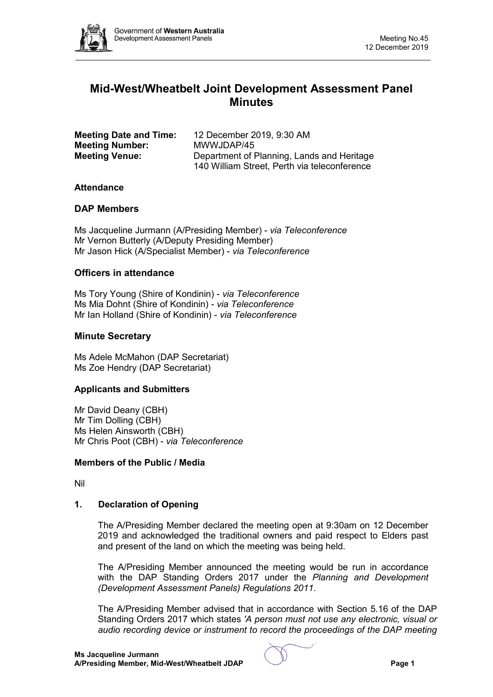

# **Mid-West/Wheatbelt Joint Development Assessment Panel Minutes**

| <b>Meeting Date and Time:</b> | 12 December 2019, 9:30 AM                                                                  |
|-------------------------------|--------------------------------------------------------------------------------------------|
| <b>Meeting Number:</b>        | MWWJDAP/45                                                                                 |
| <b>Meeting Venue:</b>         | Department of Planning, Lands and Heritage<br>140 William Street, Perth via teleconference |

#### **Attendance**

# **DAP Members**

Ms Jacqueline Jurmann (A/Presiding Member) - *via Teleconference* Mr Vernon Butterly (A/Deputy Presiding Member) Mr Jason Hick (A/Specialist Member) - *via Teleconference*

#### **Officers in attendance**

Ms Tory Young (Shire of Kondinin) - *via Teleconference* Ms Mia Dohnt (Shire of Kondinin) - *via Teleconference* Mr Ian Holland (Shire of Kondinin) - *via Teleconference*

#### **Minute Secretary**

Ms Adele McMahon (DAP Secretariat) Ms Zoe Hendry (DAP Secretariat)

#### **Applicants and Submitters**

Mr David Deany (CBH) Mr Tim Dolling (CBH) Ms Helen Ainsworth (CBH) Mr Chris Poot (CBH) - *via Teleconference*

#### **Members of the Public / Media**

Nil

# **1. Declaration of Opening**

The A/Presiding Member declared the meeting open at 9:30am on 12 December 2019 and acknowledged the traditional owners and paid respect to Elders past and present of the land on which the meeting was being held.

The A/Presiding Member announced the meeting would be run in accordance with the DAP Standing Orders 2017 under the *Planning and Development (Development Assessment Panels) Regulations 2011*.

The A/Presiding Member advised that in accordance with Section 5.16 of the DAP Standing Orders 2017 which states *'A person must not use any electronic, visual or audio recording device or instrument to record the proceedings of the DAP meeting*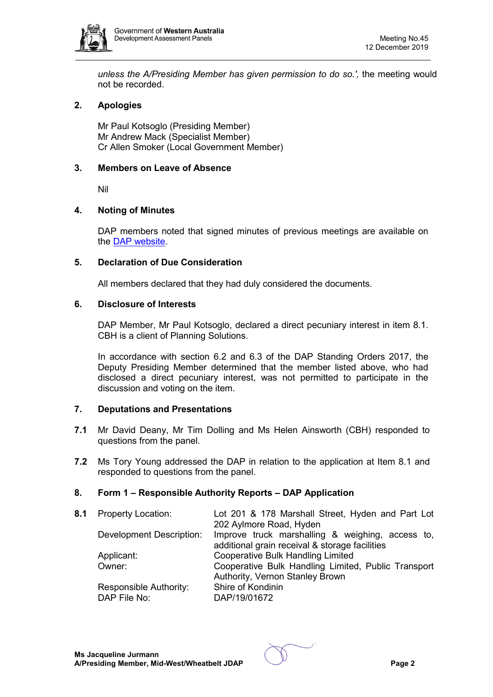

*unless the A/Presiding Member has given permission to do so.',* the meeting would not be recorded.

# **2. Apologies**

Mr Paul Kotsoglo (Presiding Member) Mr Andrew Mack (Specialist Member) Cr Allen Smoker (Local Government Member)

# **3. Members on Leave of Absence**

Nil

# **4. Noting of Minutes**

DAP members noted that signed minutes of previous meetings are available on the [DAP website.](https://www.dplh.wa.gov.au/about/development-assessment-panels/daps-agendas-and-minutes)

#### **5. Declaration of Due Consideration**

All members declared that they had duly considered the documents.

#### **6. Disclosure of Interests**

DAP Member, Mr Paul Kotsoglo, declared a direct pecuniary interest in item 8.1. CBH is a client of Planning Solutions.

In accordance with section 6.2 and 6.3 of the DAP Standing Orders 2017, the Deputy Presiding Member determined that the member listed above, who had disclosed a direct pecuniary interest, was not permitted to participate in the discussion and voting on the item.

# **7. Deputations and Presentations**

- **7.1** Mr David Deany, Mr Tim Dolling and Ms Helen Ainsworth (CBH) responded to questions from the panel.
- **7.2** Ms Tory Young addressed the DAP in relation to the application at Item 8.1 and responded to questions from the panel.

# **8. Form 1 – Responsible Authority Reports – DAP Application**

| 8.1 | <b>Property Location:</b> | Lot 201 & 178 Marshall Street, Hyden and Part Lot<br>202 Aylmore Road, Hyden |
|-----|---------------------------|------------------------------------------------------------------------------|
|     | Development Description:  | Improve truck marshalling & weighing, access to,                             |
|     |                           | additional grain receival & storage facilities                               |
|     | Applicant:                | <b>Cooperative Bulk Handling Limited</b>                                     |
|     | Owner:                    | Cooperative Bulk Handling Limited, Public Transport                          |
|     |                           | Authority, Vernon Stanley Brown                                              |
|     | Responsible Authority:    | Shire of Kondinin                                                            |
|     | DAP File No:              | DAP/19/01672                                                                 |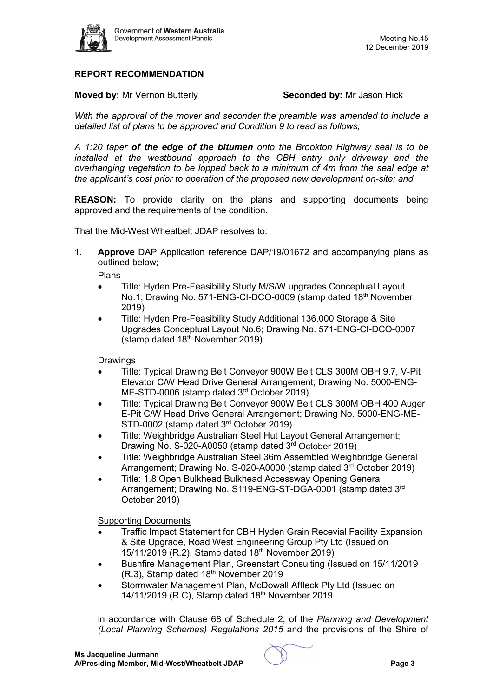

# **REPORT RECOMMENDATION**

**Moved by:** Mr Vernon Butterly **Seconded by:** Mr Jason Hick

*With the approval of the mover and seconder the preamble was amended to include a detailed list of plans to be approved and Condition 9 to read as follows;*

*A 1:20 taper of the edge of the bitumen onto the Brookton Highway seal is to be installed at the westbound approach to the CBH entry only driveway and the overhanging vegetation to be lopped back to a minimum of 4m from the seal edge at the applicant's cost prior to operation of the proposed new development on-site; and*

**REASON:** To provide clarity on the plans and supporting documents being approved and the requirements of the condition.

That the Mid-West Wheatbelt JDAP resolves to:

1. **Approve** DAP Application reference DAP/19/01672 and accompanying plans as outlined below;

Plans

- Title: Hyden Pre-Feasibility Study M/S/W upgrades Conceptual Layout No.1; Drawing No. 571-ENG-CI-DCO-0009 (stamp dated 18th November 2019)
- Title: Hyden Pre-Feasibility Study Additional 136,000 Storage & Site Upgrades Conceptual Layout No.6; Drawing No. 571-ENG-CI-DCO-0007 (stamp dated  $18<sup>th</sup>$  November 2019)

**Drawings** 

- Title: Typical Drawing Belt Conveyor 900W Belt CLS 300M OBH 9.7, V-Pit Elevator C/W Head Drive General Arrangement; Drawing No. 5000-ENG-ME-STD-0006 (stamp dated 3<sup>rd</sup> October 2019)
- Title: Typical Drawing Belt Conveyor 900W Belt CLS 300M OBH 400 Auger E-Pit C/W Head Drive General Arrangement; Drawing No. 5000-ENG-ME-STD-0002 (stamp dated 3<sup>rd</sup> October 2019)
- Title: Weighbridge Australian Steel Hut Layout General Arrangement; Drawing No. S-020-A0050 (stamp dated 3rd October 2019)
- Title: Weighbridge Australian Steel 36m Assembled Weighbridge General Arrangement; Drawing No. S-020-A0000 (stamp dated 3rd October 2019)
- Title: 1.8 Open Bulkhead Bulkhead Accessway Opening General Arrangement; Drawing No. S119-ENG-ST-DGA-0001 (stamp dated 3rd October 2019)

Supporting Documents

- Traffic Impact Statement for CBH Hyden Grain Recevial Facility Expansion & Site Upgrade, Road West Engineering Group Pty Ltd (Issued on 15/11/2019 (R.2), Stamp dated 18<sup>th</sup> November 2019)
- Bushfire Management Plan, Greenstart Consulting (Issued on 15/11/2019 (R.3), Stamp dated 18<sup>th</sup> November 2019
- Stormwater Management Plan, McDowall Affleck Pty Ltd (Issued on 14/11/2019 (R.C), Stamp dated 18<sup>th</sup> November 2019.

in accordance with Clause 68 of Schedule 2, of the *Planning and Development (Local Planning Schemes) Regulations 2015* and the provisions of the Shire of

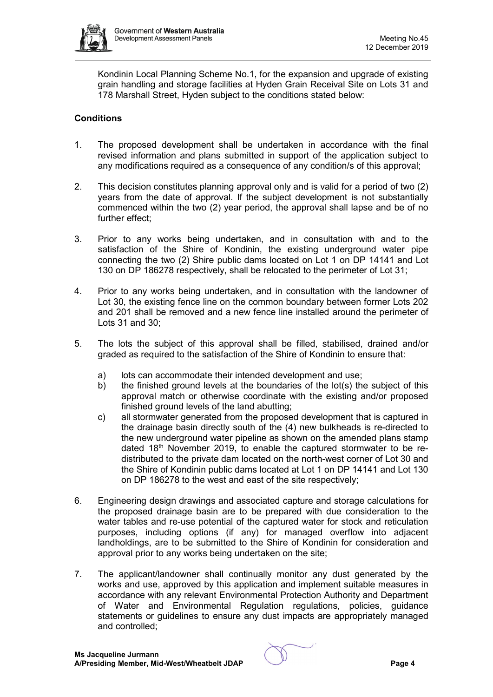

Kondinin Local Planning Scheme No.1, for the expansion and upgrade of existing grain handling and storage facilities at Hyden Grain Receival Site on Lots 31 and 178 Marshall Street, Hyden subject to the conditions stated below:

# **Conditions**

- 1. The proposed development shall be undertaken in accordance with the final revised information and plans submitted in support of the application subject to any modifications required as a consequence of any condition/s of this approval;
- 2. This decision constitutes planning approval only and is valid for a period of two (2) years from the date of approval. If the subject development is not substantially commenced within the two (2) year period, the approval shall lapse and be of no further effect;
- 3. Prior to any works being undertaken, and in consultation with and to the satisfaction of the Shire of Kondinin, the existing underground water pipe connecting the two (2) Shire public dams located on Lot 1 on DP 14141 and Lot 130 on DP 186278 respectively, shall be relocated to the perimeter of Lot 31;
- 4. Prior to any works being undertaken, and in consultation with the landowner of Lot 30, the existing fence line on the common boundary between former Lots 202 and 201 shall be removed and a new fence line installed around the perimeter of Lots 31 and 30;
- 5. The lots the subject of this approval shall be filled, stabilised, drained and/or graded as required to the satisfaction of the Shire of Kondinin to ensure that:
	- a) lots can accommodate their intended development and use;<br>b) the finished ground levels at the boundaries of the lot(s) the
	- the finished ground levels at the boundaries of the lot(s) the subject of this approval match or otherwise coordinate with the existing and/or proposed finished ground levels of the land abutting:
	- c) all stormwater generated from the proposed development that is captured in the drainage basin directly south of the (4) new bulkheads is re-directed to the new underground water pipeline as shown on the amended plans stamp dated  $18<sup>th</sup>$  November 2019, to enable the captured stormwater to be redistributed to the private dam located on the north-west corner of Lot 30 and the Shire of Kondinin public dams located at Lot 1 on DP 14141 and Lot 130 on DP 186278 to the west and east of the site respectively;
- 6. Engineering design drawings and associated capture and storage calculations for the proposed drainage basin are to be prepared with due consideration to the water tables and re-use potential of the captured water for stock and reticulation purposes, including options (if any) for managed overflow into adjacent landholdings, are to be submitted to the Shire of Kondinin for consideration and approval prior to any works being undertaken on the site;
- 7. The applicant/landowner shall continually monitor any dust generated by the works and use, approved by this application and implement suitable measures in accordance with any relevant Environmental Protection Authority and Department of Water and Environmental Regulation regulations, policies, guidance statements or guidelines to ensure any dust impacts are appropriately managed and controlled;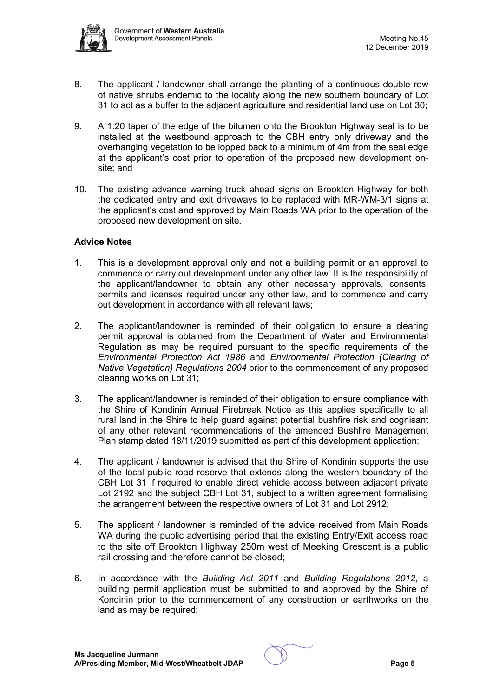

- 8. The applicant / landowner shall arrange the planting of a continuous double row of native shrubs endemic to the locality along the new southern boundary of Lot 31 to act as a buffer to the adjacent agriculture and residential land use on Lot 30;
- 9. A 1:20 taper of the edge of the bitumen onto the Brookton Highway seal is to be installed at the westbound approach to the CBH entry only driveway and the overhanging vegetation to be lopped back to a minimum of 4m from the seal edge at the applicant's cost prior to operation of the proposed new development onsite; and
- 10. The existing advance warning truck ahead signs on Brookton Highway for both the dedicated entry and exit driveways to be replaced with MR-WM-3/1 signs at the applicant's cost and approved by Main Roads WA prior to the operation of the proposed new development on site.

#### **Advice Notes**

- 1. This is a development approval only and not a building permit or an approval to commence or carry out development under any other law. It is the responsibility of the applicant/landowner to obtain any other necessary approvals, consents, permits and licenses required under any other law, and to commence and carry out development in accordance with all relevant laws;
- 2. The applicant/landowner is reminded of their obligation to ensure a clearing permit approval is obtained from the Department of Water and Environmental Regulation as may be required pursuant to the specific requirements of the *Environmental Protection Act 1986* and *Environmental Protection (Clearing of Native Vegetation) Regulations 2004* prior to the commencement of any proposed clearing works on Lot 31;
- 3. The applicant/landowner is reminded of their obligation to ensure compliance with the Shire of Kondinin Annual Firebreak Notice as this applies specifically to all rural land in the Shire to help guard against potential bushfire risk and cognisant of any other relevant recommendations of the amended Bushfire Management Plan stamp dated 18/11/2019 submitted as part of this development application;
- 4. The applicant / landowner is advised that the Shire of Kondinin supports the use of the local public road reserve that extends along the western boundary of the CBH Lot 31 if required to enable direct vehicle access between adjacent private Lot 2192 and the subject CBH Lot 31, subject to a written agreement formalising the arrangement between the respective owners of Lot 31 and Lot 2912;
- 5. The applicant / landowner is reminded of the advice received from Main Roads WA during the public advertising period that the existing Entry/Exit access road to the site off Brookton Highway 250m west of Meeking Crescent is a public rail crossing and therefore cannot be closed;
- 6. In accordance with the *Building Act 2011* and *Building Regulations 2012*, a building permit application must be submitted to and approved by the Shire of Kondinin prior to the commencement of any construction or earthworks on the land as may be required;